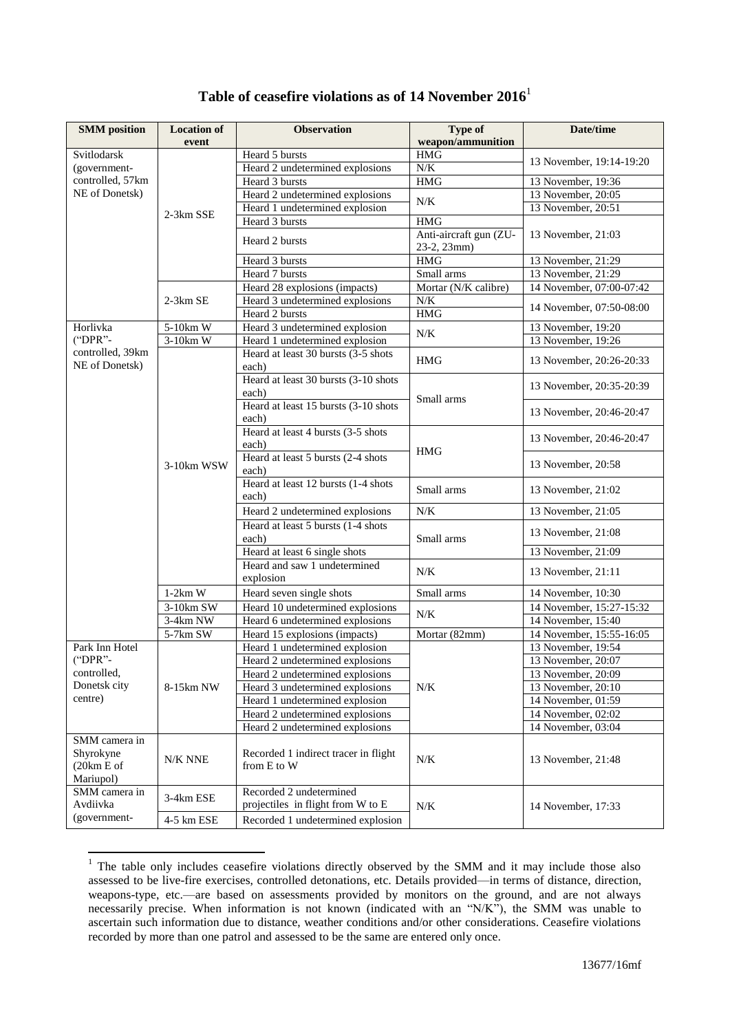|  |  |  | Table of ceasefire violations as of 14 November $20161$ |  |  |
|--|--|--|---------------------------------------------------------|--|--|
|--|--|--|---------------------------------------------------------|--|--|

| <b>SMM</b> position                                  | <b>Location of</b>    | <b>Observation</b>                          | <b>Type of</b>         | Date/time                |
|------------------------------------------------------|-----------------------|---------------------------------------------|------------------------|--------------------------|
|                                                      | event                 |                                             | weapon/ammunition      |                          |
| Svitlodarsk                                          |                       | Heard 5 bursts                              | <b>HMG</b>             |                          |
| (government-                                         |                       | Heard 2 undetermined explosions             | N/K                    | 13 November, 19:14-19:20 |
| controlled, 57km                                     |                       | Heard 3 bursts                              | <b>HMG</b>             | 13 November, 19:36       |
| NE of Donetsk)                                       |                       | Heard 2 undetermined explosions             |                        | 13 November, 20:05       |
|                                                      |                       | Heard 1 undetermined explosion              | N/K                    | 13 November, 20:51       |
|                                                      | 2-3km SSE             | Heard 3 bursts                              | <b>HMG</b>             |                          |
|                                                      |                       | Heard 2 bursts                              | Anti-aircraft gun (ZU- | 13 November, 21:03       |
|                                                      |                       |                                             | 23-2, 23mm)            |                          |
|                                                      |                       | Heard 3 bursts                              | <b>HMG</b>             | 13 November, 21:29       |
|                                                      |                       | Heard 7 bursts                              | Small arms             | 13 November, 21:29       |
|                                                      |                       | Heard 28 explosions (impacts)               | Mortar (N/K calibre)   | 14 November, 07:00-07:42 |
|                                                      | 2-3km SE              | Heard 3 undetermined explosions             | N/K                    | 14 November, 07:50-08:00 |
|                                                      |                       | Heard 2 bursts                              | $\rm{HMG}$             |                          |
| Horlivka                                             | $5-10km$ W            | Heard 3 undetermined explosion              | N/K                    | 13 November, 19:20       |
| ("DPR"-                                              | $3-10km$ W            | Heard 1 undetermined explosion              |                        | 13 November, 19:26       |
| controlled, 39km                                     |                       | Heard at least 30 bursts (3-5 shots         | HMG                    | 13 November, 20:26-20:33 |
| NE of Donetsk)                                       |                       | each)                                       |                        |                          |
|                                                      |                       | Heard at least 30 bursts (3-10 shots        |                        | 13 November, 20:35-20:39 |
|                                                      |                       | each)                                       | Small arms             |                          |
|                                                      |                       | Heard at least 15 bursts (3-10 shots        |                        | 13 November, 20:46-20:47 |
|                                                      |                       | each)                                       |                        | 13 November, 20:46-20:47 |
|                                                      |                       | Heard at least 4 bursts (3-5 shots          |                        |                          |
|                                                      |                       | each)<br>Heard at least 5 bursts (2-4 shots | <b>HMG</b>             |                          |
|                                                      | 3-10km WSW            | each)                                       |                        | 13 November, 20:58       |
|                                                      |                       | Heard at least 12 bursts (1-4 shots         |                        |                          |
|                                                      |                       | each)                                       | Small arms             | 13 November, 21:02       |
|                                                      |                       | Heard 2 undetermined explosions             | N/K                    | 13 November, 21:05       |
|                                                      |                       | Heard at least 5 bursts (1-4 shots          |                        |                          |
|                                                      |                       | each)                                       | Small arms             | 13 November, 21:08       |
|                                                      |                       | Heard at least 6 single shots               |                        | 13 November, 21:09       |
|                                                      |                       | Heard and saw 1 undetermined                |                        |                          |
|                                                      |                       | explosion                                   | N/K                    | 13 November, 21:11       |
|                                                      | $1-2km$ W             | Heard seven single shots                    | Small arms             | 14 November, 10:30       |
|                                                      | $3-10km$ SW           | Heard 10 undetermined explosions            |                        | 14 November, 15:27-15:32 |
|                                                      | 3-4km NW              | Heard 6 undetermined explosions             | N/K                    | 14 November, 15:40       |
|                                                      | $5-7km S\overline{W}$ | Heard 15 explosions (impacts)               | Mortar (82mm)          | 14 November, 15:55-16:05 |
| Park Inn Hotel                                       |                       | Heard 1 undetermined explosion              |                        | 13 November, 19:54       |
| $("DPR" -$<br>controlled,<br>Donetsk city<br>centre) | 8-15km NW             | Heard 2 undetermined explosions             | N/K                    | 13 November, 20:07       |
|                                                      |                       | Heard 2 undetermined explosions             |                        | 13 November, 20:09       |
|                                                      |                       | Heard 3 undetermined explosions             |                        | 13 November, 20:10       |
|                                                      |                       | Heard 1 undetermined explosion              |                        | 14 November, 01:59       |
|                                                      |                       | Heard 2 undetermined explosions             |                        | 14 November, 02:02       |
|                                                      |                       | Heard 2 undetermined explosions             |                        | 14 November, 03:04       |
| SMM camera in                                        |                       |                                             |                        |                          |
| Shyrokyne                                            |                       | Recorded 1 indirect tracer in flight        |                        |                          |
| (20km E of                                           | N/K NNE               | from E to W                                 | N/K                    | 13 November, 21:48       |
| Mariupol)                                            |                       |                                             |                        |                          |
| SMM camera in                                        | 3-4km ESE             | Recorded 2 undetermined                     |                        |                          |
| Avdiivka                                             |                       | projectiles in flight from W to E           | N/K                    | 14 November, 17:33       |
| (government-                                         | 4-5 km ESE            | Recorded 1 undetermined explosion           |                        |                          |

 $1$  The table only includes ceasefire violations directly observed by the SMM and it may include those also assessed to be live-fire exercises, controlled detonations, etc. Details provided—in terms of distance, direction, weapons-type, etc.—are based on assessments provided by monitors on the ground, and are not always necessarily precise. When information is not known (indicated with an "N/K"), the SMM was unable to ascertain such information due to distance, weather conditions and/or other considerations. Ceasefire violations recorded by more than one patrol and assessed to be the same are entered only once.

1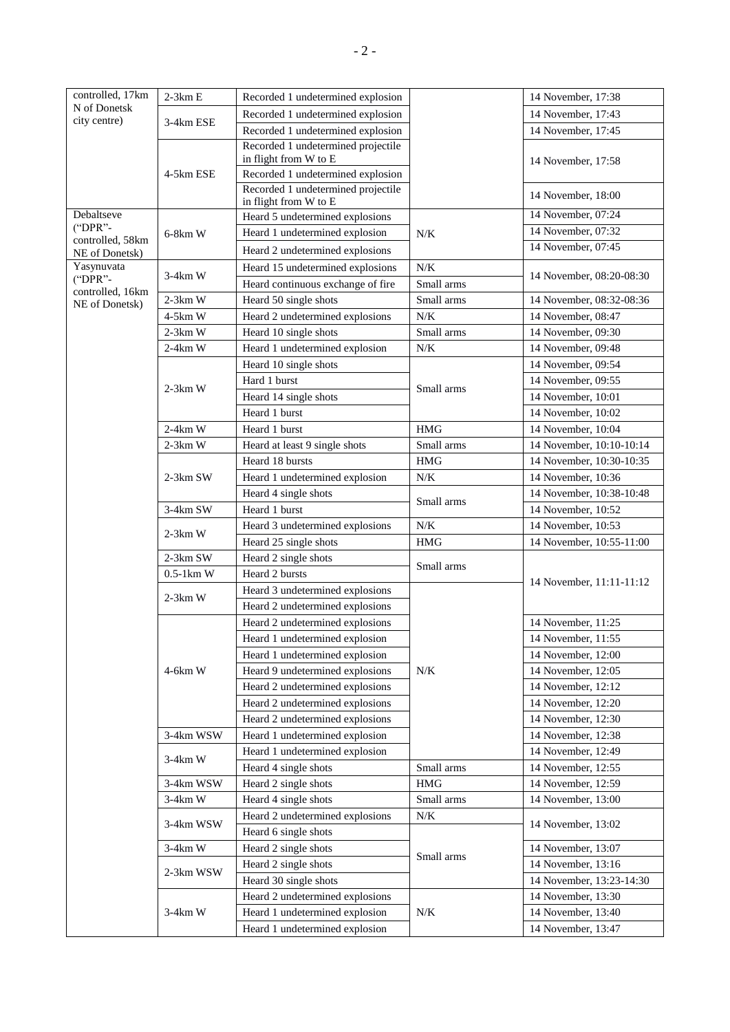| controlled, 17km             | $2-3km E$   | Recorded 1 undetermined explosion                           |                   | 14 November, 17:38                             |
|------------------------------|-------------|-------------------------------------------------------------|-------------------|------------------------------------------------|
| N of Donetsk                 |             | Recorded 1 undetermined explosion                           |                   | 14 November, 17:43                             |
| city centre)                 | 3-4km ESE   | Recorded 1 undetermined explosion                           |                   | 14 November, 17:45                             |
|                              |             | Recorded 1 undetermined projectile                          |                   |                                                |
|                              |             | in flight from W to E                                       |                   | 14 November, 17:58                             |
|                              | 4-5km ESE   | Recorded 1 undetermined explosion                           |                   |                                                |
|                              |             | Recorded 1 undetermined projectile<br>in flight from W to E |                   | 14 November, 18:00                             |
| Debaltseve                   |             | Heard 5 undetermined explosions                             |                   | 14 November, 07:24                             |
| ("DPR"-                      | $6-8km$ W   | Heard 1 undetermined explosion                              | N/K               | 14 November, 07:32                             |
| controlled, 58km             |             | Heard 2 undetermined explosions                             |                   | 14 November, 07:45                             |
| NE of Donetsk)<br>Yasynuvata |             |                                                             |                   |                                                |
| ("DPR"-                      | $3-4km$ W   | Heard 15 undetermined explosions                            | N/K<br>Small arms | 14 November, 08:20-08:30                       |
| controlled, 16km             | $2-3km$ W   | Heard continuous exchange of fire                           | Small arms        |                                                |
| NE of Donetsk)               | 4-5km W     | Heard 50 single shots<br>Heard 2 undetermined explosions    | $N\!/\!K$         | 14 November, 08:32-08:36<br>14 November, 08:47 |
|                              | $2-3km$ W   |                                                             | Small arms        | 14 November, 09:30                             |
|                              | $2-4km$ W   | Heard 10 single shots<br>Heard 1 undetermined explosion     | $N\!/\!K$         | 14 November, 09:48                             |
|                              |             | Heard 10 single shots                                       |                   | 14 November, 09:54                             |
|                              |             | Hard 1 burst                                                |                   | 14 November, 09:55                             |
|                              | $2-3km$ W   | Heard 14 single shots                                       | Small arms        | 14 November, 10:01                             |
|                              |             | Heard 1 burst                                               |                   | 14 November, 10:02                             |
|                              | $2-4km$ W   | Heard 1 burst                                               | <b>HMG</b>        | 14 November, 10:04                             |
|                              | $2-3km$ W   | Heard at least 9 single shots                               | Small arms        | 14 November, 10:10-10:14                       |
|                              |             | Heard 18 bursts                                             | <b>HMG</b>        | 14 November, 10:30-10:35                       |
|                              | 2-3km SW    | Heard 1 undetermined explosion                              | N/K               | 14 November, 10:36                             |
|                              |             | Heard 4 single shots                                        |                   | 14 November, 10:38-10:48                       |
|                              | 3-4km SW    | Heard 1 burst                                               | Small arms        | 14 November, 10:52                             |
|                              |             | Heard 3 undetermined explosions                             | N/K               | 14 November, 10:53                             |
|                              | $2-3km$ W   | Heard 25 single shots                                       | <b>HMG</b>        | 14 November, 10:55-11:00                       |
|                              | 2-3km SW    | Heard 2 single shots                                        |                   |                                                |
|                              | $0.5-1km$ W | Heard 2 bursts                                              | Small arms        |                                                |
|                              |             | Heard 3 undetermined explosions                             |                   | 14 November, 11:11-11:12                       |
|                              | $2-3km$ W   | Heard 2 undetermined explosions                             |                   |                                                |
|                              |             | Heard 2 undetermined explosions                             |                   | 14 November, 11:25                             |
|                              |             | Heard 1 undetermined explosion                              |                   | 14 November, 11:55                             |
|                              | $4-6km$ W   | Heard 1 undetermined explosion                              | N/K               | 14 November, 12:00                             |
|                              |             | Heard 9 undetermined explosions                             |                   | 14 November, 12:05                             |
|                              |             | Heard 2 undetermined explosions                             |                   | 14 November, 12:12                             |
|                              |             | Heard 2 undetermined explosions                             |                   | 14 November, 12:20                             |
|                              |             | Heard 2 undetermined explosions                             |                   | 14 November, 12:30                             |
|                              | 3-4km WSW   | Heard 1 undetermined explosion                              |                   | 14 November, 12:38                             |
|                              |             | Heard 1 undetermined explosion                              |                   | 14 November, 12:49                             |
|                              | $3-4km$ W   | Heard 4 single shots                                        | Small arms        | 14 November, 12:55                             |
|                              | 3-4km WSW   | Heard 2 single shots                                        | $\rm HMG$         | 14 November, 12:59                             |
|                              | $3-4km$ W   | Heard 4 single shots                                        | Small arms        | 14 November, 13:00                             |
|                              | 3-4km WSW   | Heard 2 undetermined explosions                             | $N/K$             |                                                |
|                              |             | Heard 6 single shots                                        |                   | 14 November, 13:02                             |
|                              | $3-4km$ W   | Heard 2 single shots                                        | Small arms        | 14 November, 13:07                             |
|                              | 2-3km WSW   | Heard 2 single shots                                        |                   | 14 November, 13:16                             |
|                              |             | Heard 30 single shots                                       |                   | 14 November, 13:23-14:30                       |
|                              | $3-4km$ W   | Heard 2 undetermined explosions                             | N/K               | 14 November, 13:30                             |
|                              |             | Heard 1 undetermined explosion                              |                   | 14 November, 13:40                             |
|                              |             | Heard 1 undetermined explosion                              |                   | 14 November, 13:47                             |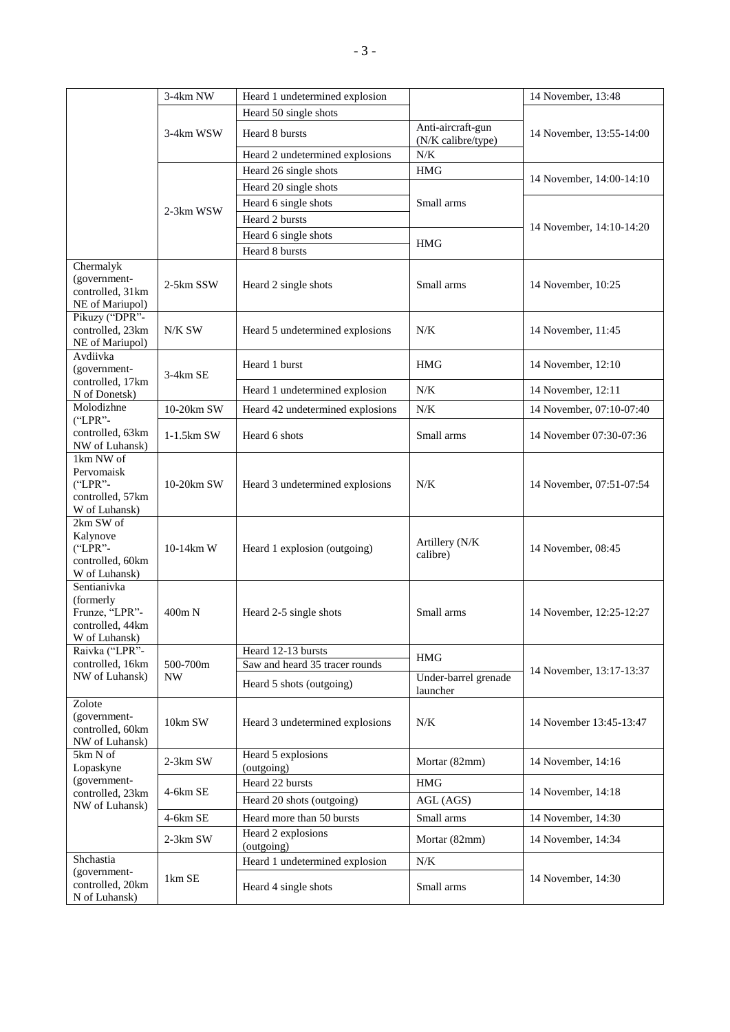|                                                                                 | 3-4km NW              | Heard 1 undetermined explosion   |                                         | 14 November, 13:48       |
|---------------------------------------------------------------------------------|-----------------------|----------------------------------|-----------------------------------------|--------------------------|
|                                                                                 |                       | Heard 50 single shots            |                                         | 14 November, 13:55-14:00 |
|                                                                                 | 3-4km WSW             | Heard 8 bursts                   | Anti-aircraft-gun<br>(N/K calibre/type) |                          |
|                                                                                 |                       | Heard 2 undetermined explosions  | N/K                                     |                          |
|                                                                                 |                       | Heard 26 single shots            | <b>HMG</b>                              |                          |
|                                                                                 |                       | Heard 20 single shots            |                                         | 14 November, 14:00-14:10 |
|                                                                                 |                       | Heard 6 single shots             | Small arms                              | 14 November, 14:10-14:20 |
|                                                                                 | 2-3km WSW             | Heard 2 bursts                   |                                         |                          |
|                                                                                 |                       | Heard 6 single shots             | <b>HMG</b>                              |                          |
|                                                                                 |                       | Heard 8 bursts                   |                                         |                          |
| Chermalyk<br>(government-<br>controlled, 31km<br>NE of Mariupol)                | 2-5km SSW             | Heard 2 single shots             | Small arms                              | 14 November, 10:25       |
| Pikuzy ("DPR"-<br>controlled, 23km<br>NE of Mariupol)                           | N/K SW                | Heard 5 undetermined explosions  | N/K                                     | 14 November, 11:45       |
| Avdiivka<br>(government-                                                        | 3-4km SE              | Heard 1 burst                    | <b>HMG</b>                              | 14 November, 12:10       |
| controlled, 17km<br>N of Donetsk)                                               |                       | Heard 1 undetermined explosion   | N/K                                     | 14 November, 12:11       |
| Molodizhne                                                                      | 10-20km SW            | Heard 42 undetermined explosions | N/K                                     | 14 November, 07:10-07:40 |
| ("LPR"-<br>controlled, 63km<br>NW of Luhansk)                                   | $1-1.5km$ SW          | Heard 6 shots                    | Small arms                              | 14 November 07:30-07:36  |
| 1km NW of<br>Pervomaisk<br>$("LPR" -$<br>controlled, 57km<br>W of Luhansk)      | 10-20km SW            | Heard 3 undetermined explosions  | N/K                                     | 14 November, 07:51-07:54 |
| 2km SW of<br>Kalynove<br>$("LPR" -$<br>controlled, 60km<br>W of Luhansk)        | 10-14km W             | Heard 1 explosion (outgoing)     | Artillery (N/K)<br>calibre)             | 14 November, 08:45       |
| Sentianivka<br>(formerly<br>Frunze, "LPR"-<br>controlled, 44km<br>W of Luhansk) | 400m N                | Heard 2-5 single shots           | Small arms                              | 14 November, 12:25-12:27 |
| Raivka ("LPR"-                                                                  |                       | Heard 12-13 bursts               | <b>HMG</b>                              |                          |
| controlled, 16km<br>NW of Luhansk)                                              | 500-700m<br><b>NW</b> | Saw and heard 35 tracer rounds   |                                         | 14 November, 13:17-13:37 |
|                                                                                 |                       | Heard 5 shots (outgoing)         | Under-barrel grenade<br>launcher        |                          |
| Zolote<br>(government-<br>controlled, 60km<br>NW of Luhansk)                    | 10km SW               | Heard 3 undetermined explosions  | N/K                                     | 14 November 13:45-13:47  |
| 5km N of<br>Lopaskyne                                                           | $2-3km$ SW            | Heard 5 explosions<br>(outgoing) | Mortar (82mm)                           | 14 November, 14:16       |
| (government-<br>controlled, 23km<br>NW of Luhansk)                              | 4-6km SE              | Heard 22 bursts                  | $\rm{HMG}$                              | 14 November, 14:18       |
|                                                                                 |                       | Heard 20 shots (outgoing)        | AGL (AGS)                               |                          |
|                                                                                 | 4-6km SE              | Heard more than 50 bursts        | Small arms                              | 14 November, 14:30       |
|                                                                                 | 2-3km SW              | Heard 2 explosions<br>(outgoing) | Mortar (82mm)                           | 14 November, 14:34       |
| Shchastia                                                                       |                       | Heard 1 undetermined explosion   | N/K                                     |                          |
| (government-<br>controlled, 20km<br>N of Luhansk)                               | 1km SE                | Heard 4 single shots             | Small arms                              | 14 November, 14:30       |